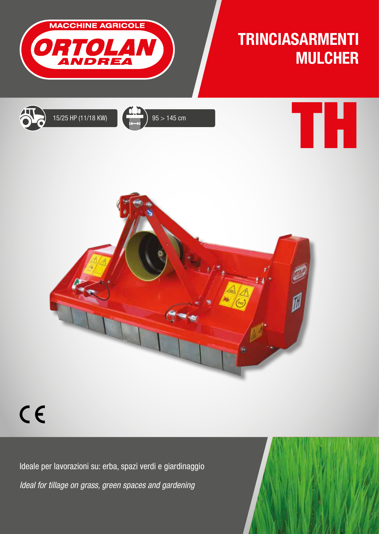

## TRINCIASARMENTI MULCHER

TH







## $C<sub>f</sub>$

Ideale per lavorazioni su: erba, spazi verdi e giardinaggio *Ideal for tillage on grass, green spaces and gardening*